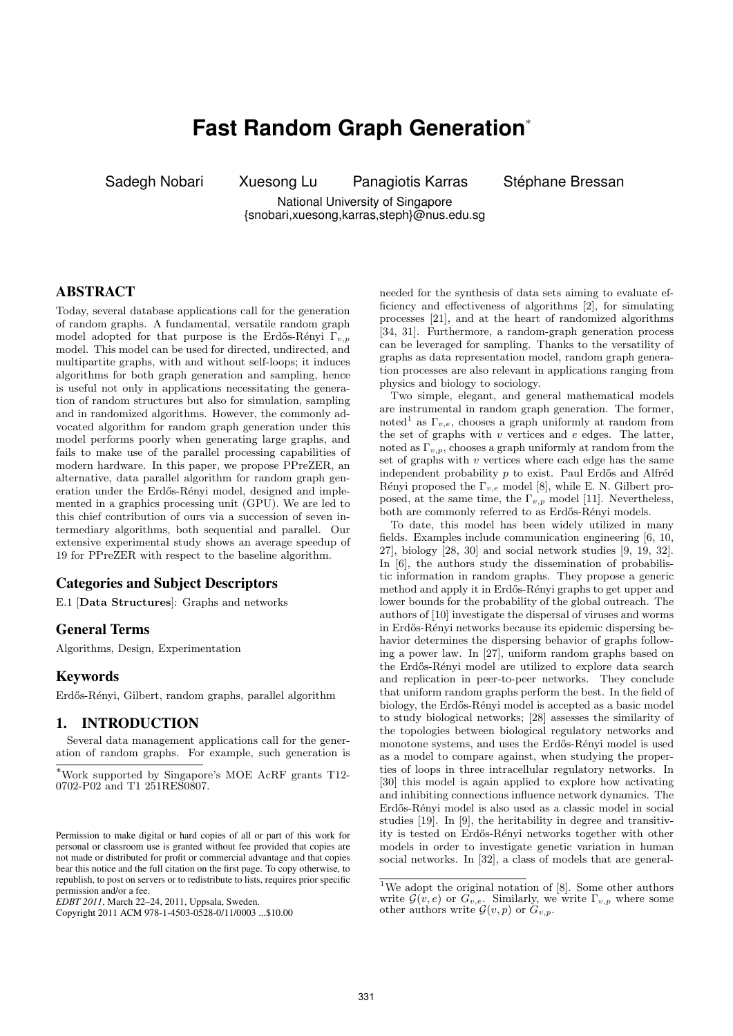# **Fast Random Graph Generation**<sup>∗</sup>

Sadegh Nobari Xuesong Lu Panagiotis Karras Stéphane Bressan

National University of Singapore {snobari,xuesong,karras,steph}@nus.edu.sg

# ABSTRACT

Today, several database applications call for the generation of random graphs. A fundamental, versatile random graph model adopted for that purpose is the Erdős-Rényi  $\Gamma_{v,p}$ model. This model can be used for directed, undirected, and multipartite graphs, with and without self-loops; it induces algorithms for both graph generation and sampling, hence is useful not only in applications necessitating the generation of random structures but also for simulation, sampling and in randomized algorithms. However, the commonly advocated algorithm for random graph generation under this model performs poorly when generating large graphs, and fails to make use of the parallel processing capabilities of modern hardware. In this paper, we propose PPreZER, an alternative, data parallel algorithm for random graph generation under the Erdős-Rényi model, designed and implemented in a graphics processing unit (GPU). We are led to this chief contribution of ours via a succession of seven intermediary algorithms, both sequential and parallel. Our extensive experimental study shows an average speedup of 19 for PPreZER with respect to the baseline algorithm.

# Categories and Subject Descriptors

E.1 [**Data Structures**]: Graphs and networks

# General Terms

Algorithms, Design, Experimentation

# Keywords

Erdős-Rényi, Gilbert, random graphs, parallel algorithm

# 1. INTRODUCTION

Several data management applications call for the generation of random graphs. For example, such generation is needed for the synthesis of data sets aiming to evaluate efficiency and effectiveness of algorithms [2], for simulating processes [21], and at the heart of randomized algorithms [34, 31]. Furthermore, a random-graph generation process can be leveraged for sampling. Thanks to the versatility of graphs as data representation model, random graph generation processes are also relevant in applications ranging from physics and biology to sociology.

Two simple, elegant, and general mathematical models are instrumental in random graph generation. The former, noted<sup>1</sup> as  $\Gamma_{v,e}$ , chooses a graph uniformly at random from the set of graphs with  $v$  vertices and  $e$  edges. The latter, noted as  $\Gamma_{v,p}$ , chooses a graph uniformly at random from the set of graphs with  $v$  vertices where each edge has the same independent probability  $p$  to exist. Paul Erdős and Alfréd Rényi proposed the  $\Gamma_{v,e}$  model [8], while E. N. Gilbert proposed, at the same time, the  $\Gamma_{v,p}$  model [11]. Nevertheless, both are commonly referred to as Erdős-Rényi models.

To date, this model has been widely utilized in many fields. Examples include communication engineering [6, 10, 27], biology [28, 30] and social network studies [9, 19, 32]. In [6], the authors study the dissemination of probabilistic information in random graphs. They propose a generic method and apply it in Erdős-Rényi graphs to get upper and lower bounds for the probability of the global outreach. The authors of [10] investigate the dispersal of viruses and worms in Erdős-Rényi networks because its epidemic dispersing behavior determines the dispersing behavior of graphs following a power law. In [27], uniform random graphs based on the Erdős-Rényi model are utilized to explore data search and replication in peer-to-peer networks. They conclude that uniform random graphs perform the best. In the field of biology, the Erdős-Rényi model is accepted as a basic model to study biological networks; [28] assesses the similarity of the topologies between biological regulatory networks and monotone systems, and uses the Erdős-Rényi model is used as a model to compare against, when studying the properties of loops in three intracellular regulatory networks. In [30] this model is again applied to explore how activating and inhibiting connections influence network dynamics. The Erdős-Rényi model is also used as a classic model in social studies [19]. In [9], the heritability in degree and transitivity is tested on Erdős-Rényi networks together with other models in order to investigate genetic variation in human social networks. In [32], a class of models that are general-

<sup>∗</sup>Work supported by Singapore's MOE AcRF grants T12- 0702-P02 and T1 251RES0807.

Permission to make digital or hard copies of all or part of this work for personal or classroom use is granted without fee provided that copies are not made or distributed for profit or commercial advantage and that copies bear this notice and the full citation on the first page. To copy otherwise, to republish, to post on servers or to redistribute to lists, requires prior specific permission and/or a fee.

*EDBT 2011*, March 22–24, 2011, Uppsala, Sweden.

Copyright 2011 ACM 978-1-4503-0528-0/11/0003 ...\$10.00

<sup>&</sup>lt;sup>1</sup>We adopt the original notation of [8]. Some other authors write  $\mathcal{G}(v, e)$  or  $G_{v, e}$ . Similarly, we write  $\Gamma_{v, p}$  where some other authors write  $\mathcal{G}(v,p)$  or  $\tilde{G}_{v,p}$ .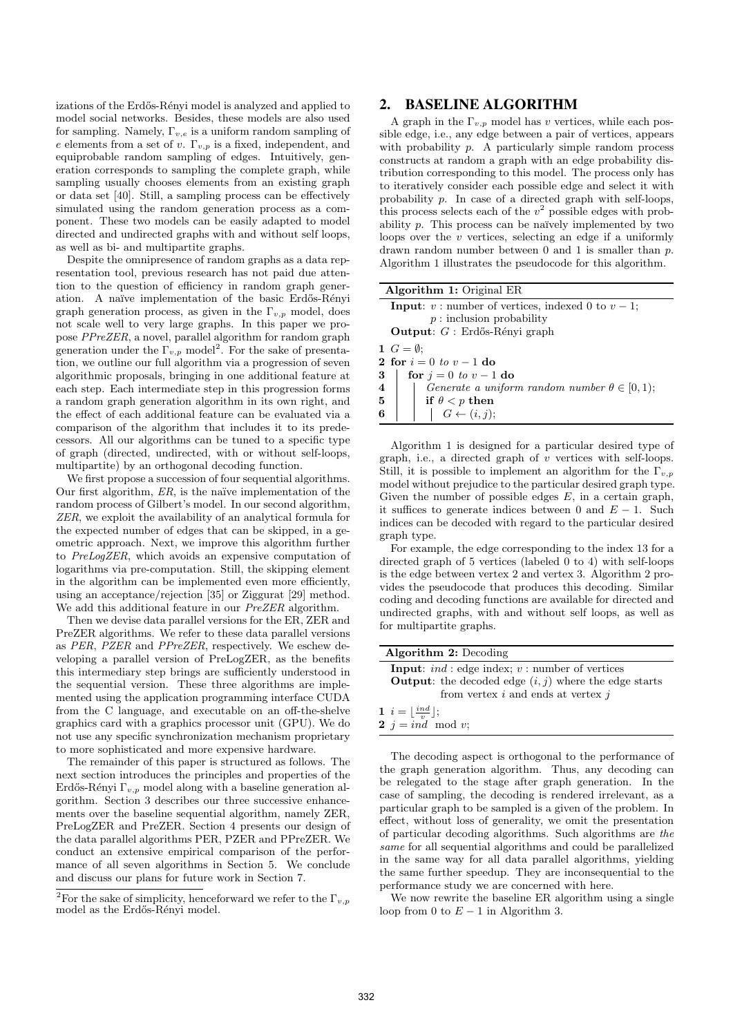izations of the Erdős-Rényi model is analyzed and applied to model social networks. Besides, these models are also used for sampling. Namely,  $\Gamma_{v,e}$  is a uniform random sampling of e elements from a set of v.  $\Gamma_{v,p}$  is a fixed, independent, and equiprobable random sampling of edges. Intuitively, generation corresponds to sampling the complete graph, while sampling usually chooses elements from an existing graph or data set [40]. Still, a sampling process can be effectively simulated using the random generation process as a component. These two models can be easily adapted to model directed and undirected graphs with and without self loops, as well as bi- and multipartite graphs.

Despite the omnipresence of random graphs as a data representation tool, previous research has not paid due attention to the question of efficiency in random graph generation. A naïve implementation of the basic Erdős-Rényi graph generation process, as given in the  $\Gamma_{v,p}$  model, does not scale well to very large graphs. In this paper we propose PPreZER, a novel, parallel algorithm for random graph generation under the  $\Gamma_{v,p}$  model<sup>2</sup>. For the sake of presentation, we outline our full algorithm via a progression of seven algorithmic proposals, bringing in one additional feature at each step. Each intermediate step in this progression forms a random graph generation algorithm in its own right, and the effect of each additional feature can be evaluated via a comparison of the algorithm that includes it to its predecessors. All our algorithms can be tuned to a specific type of graph (directed, undirected, with or without self-loops, multipartite) by an orthogonal decoding function.

We first propose a succession of four sequential algorithms. Our first algorithm,  $ER$ , is the naïve implementation of the random process of Gilbert's model. In our second algorithm, ZER, we exploit the availability of an analytical formula for the expected number of edges that can be skipped, in a geometric approach. Next, we improve this algorithm further to PreLogZER, which avoids an expensive computation of logarithms via pre-computation. Still, the skipping element in the algorithm can be implemented even more efficiently, using an acceptance/rejection [35] or Ziggurat [29] method. We add this additional feature in our PreZER algorithm.

Then we devise data parallel versions for the ER, ZER and PreZER algorithms. We refer to these data parallel versions as PER, PZER and PPreZER, respectively. We eschew developing a parallel version of PreLogZER, as the benefits this intermediary step brings are sufficiently understood in the sequential version. These three algorithms are implemented using the application programming interface CUDA from the C language, and executable on an off-the-shelve graphics card with a graphics processor unit (GPU). We do not use any specific synchronization mechanism proprietary to more sophisticated and more expensive hardware.

The remainder of this paper is structured as follows. The next section introduces the principles and properties of the Erdős-Rényi  $\Gamma_{v,p}$  model along with a baseline generation algorithm. Section 3 describes our three successive enhancements over the baseline sequential algorithm, namely ZER, PreLogZER and PreZER. Section 4 presents our design of the data parallel algorithms PER, PZER and PPreZER. We conduct an extensive empirical comparison of the performance of all seven algorithms in Section 5. We conclude and discuss our plans for future work in Section 7.

# 2. BASELINE ALGORITHM

A graph in the  $\Gamma_{v,p}$  model has v vertices, while each possible edge, i.e., any edge between a pair of vertices, appears with probability  $p$ . A particularly simple random process constructs at random a graph with an edge probability distribution corresponding to this model. The process only has to iteratively consider each possible edge and select it with probability p. In case of a directed graph with self-loops, this process selects each of the  $v^2$  possible edges with probability  $p$ . This process can be naïvely implemented by two loops over the  $v$  vertices, selecting an edge if a uniformly drawn random number between 0 and 1 is smaller than p. Algorithm 1 illustrates the pseudocode for this algorithm.

| <b>Algorithm 1:</b> Original ER                            |
|------------------------------------------------------------|
| <b>Input:</b> v: number of vertices, indexed 0 to $v-1$ ;  |
| $p:$ inclusion probability                                 |
| <b>Output</b> : $G$ : Erdős-Rényi graph                    |
| 1 $G = \emptyset$ :                                        |
| 2 for $i = 0$ to $v - 1$ do                                |
| for $j = 0$ to $v - 1$ do<br>3                             |
| Generate a uniform random number $\theta \in [0,1)$ ;<br>4 |
| if $\theta < p$ then<br>5                                  |
| $G \leftarrow (i, j);$<br>6                                |

Algorithm 1 is designed for a particular desired type of graph, i.e., a directed graph of  $v$  vertices with self-loops. Still, it is possible to implement an algorithm for the  $\Gamma_{v,p}$ model without prejudice to the particular desired graph type. Given the number of possible edges  $E$ , in a certain graph, it suffices to generate indices between 0 and  $E - 1$ . Such indices can be decoded with regard to the particular desired graph type.

For example, the edge corresponding to the index 13 for a directed graph of 5 vertices (labeled 0 to 4) with self-loops is the edge between vertex 2 and vertex 3. Algorithm 2 provides the pseudocode that produces this decoding. Similar coding and decoding functions are available for directed and undirected graphs, with and without self loops, as well as for multipartite graphs.

| <b>Algorithm 2:</b> Decoding                                    |  |
|-----------------------------------------------------------------|--|
| <b>Input:</b> $ind$ : edge index; $v$ : number of vertices      |  |
| <b>Output:</b> the decoded edge $(i, j)$ where the edge starts  |  |
| from vertex $i$ and ends at vertex $i$                          |  |
| 1 $i = \lfloor \frac{ind}{v} \rfloor$ ;<br>2 $j = ind \mod v$ ; |  |

The decoding aspect is orthogonal to the performance of the graph generation algorithm. Thus, any decoding can be relegated to the stage after graph generation. In the case of sampling, the decoding is rendered irrelevant, as a particular graph to be sampled is a given of the problem. In effect, without loss of generality, we omit the presentation of particular decoding algorithms. Such algorithms are the same for all sequential algorithms and could be parallelized in the same way for all data parallel algorithms, yielding the same further speedup. They are inconsequential to the performance study we are concerned with here.

We now rewrite the baseline ER algorithm using a single loop from 0 to  $E-1$  in Algorithm 3.

<sup>&</sup>lt;sup>2</sup>For the sake of simplicity, henceforward we refer to the  $\Gamma_{v,p}$ model as the Erdős-Rényi model.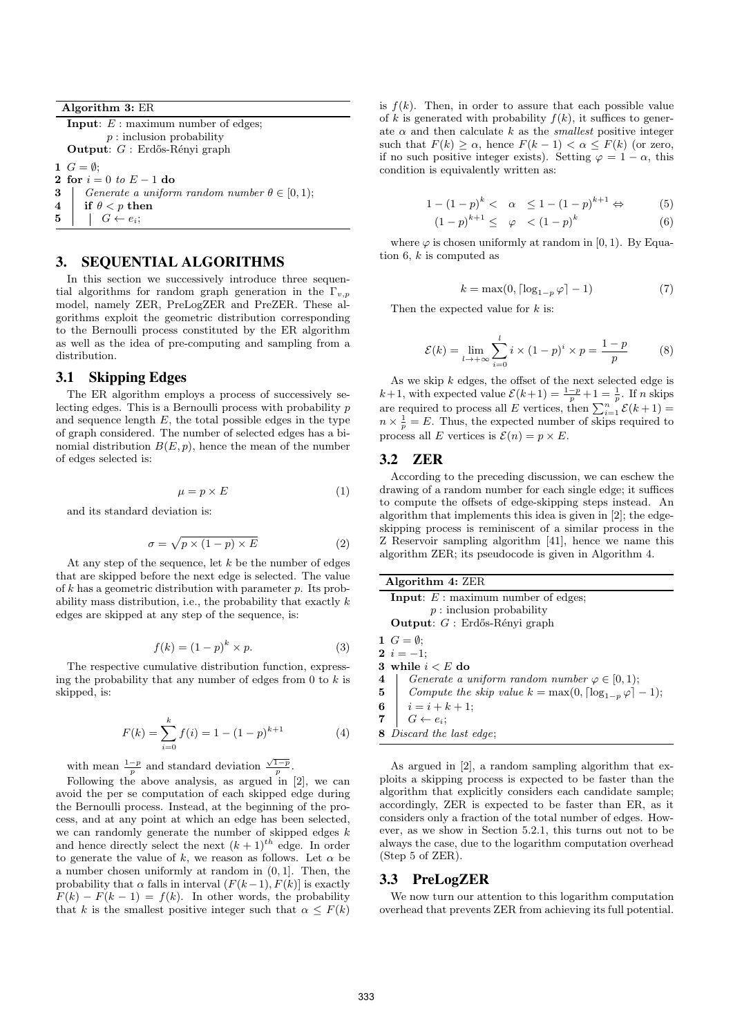**Algorithm 3:** ER **Input**:  $E$  : maximum number of edges;  $p:$  inclusion probability **Output**: G : Erdős-Rényi graph **1**  $G = \emptyset;$ <br>**2** for  $i =$ **2** for  $i = 0$  to  $E - 1$  **do**<br>**3** | *Generate a uniform* **3** Generate a uniform random number  $\theta \in [0, 1);$ <br>**4** if  $\theta < p$  then **if**  $\theta < p$  **then 5**  $\mid$   $G \leftarrow e_i;$ 

# 3. SEQUENTIAL ALGORITHMS

In this section we successively introduce three sequential algorithms for random graph generation in the  $\Gamma_{v,p}$ model, namely ZER, PreLogZER and PreZER. These algorithms exploit the geometric distribution corresponding to the Bernoulli process constituted by the ER algorithm as well as the idea of pre-computing and sampling from a distribution.

#### 3.1 Skipping Edges

The ER algorithm employs a process of successively selecting edges. This is a Bernoulli process with probability p and sequence length  $E$ , the total possible edges in the type of graph considered. The number of selected edges has a binomial distribution  $B(E, p)$ , hence the mean of the number of edges selected is:

$$
\mu = p \times E \tag{1}
$$

and its standard deviation is:

$$
\sigma = \sqrt{p \times (1 - p) \times E} \tag{2}
$$

At any step of the sequence, let  $k$  be the number of edges that are skipped before the next edge is selected. The value of  $k$  has a geometric distribution with parameter  $p$ . Its probability mass distribution, i.e., the probability that exactly  $k$ edges are skipped at any step of the sequence, is:

$$
f(k) = (1 - p)^k \times p.
$$
 (3)

The respective cumulative distribution function, expressing the probability that any number of edges from  $0$  to  $k$  is skipped, is:

$$
F(k) = \sum_{i=0}^{k} f(i) = 1 - (1 - p)^{k+1}
$$
 (4)

with mean  $\frac{1-p}{p}$  and standard deviation  $\frac{\sqrt{1-p}}{p}$ .

Following the above analysis, as argued in [2], we can avoid the per se computation of each skipped edge during the Bernoulli process. Instead, at the beginning of the process, and at any point at which an edge has been selected, we can randomly generate the number of skipped edges  $k$ and hence directly select the next  $(k + 1)^{th}$  edge. In order to generate the value of k, we reason as follows. Let  $\alpha$  be a number chosen uniformly at random in (0, 1]. Then, the probability that  $\alpha$  falls in interval  $(F(k-1), F(k))$  is exactly  $F(k) - F(k-1) = f(k)$ . In other words, the probability that k is the smallest positive integer such that  $\alpha \leq F(k)$ 

is  $f(k)$ . Then, in order to assure that each possible value of k is generated with probability  $f(k)$ , it suffices to generate  $\alpha$  and then calculate k as the *smallest* positive integer such that  $F(k) > \alpha$ , hence  $F(k-1) < \alpha < F(k)$  (or zero, if no such positive integer exists). Setting  $\varphi = 1 - \alpha$ , this condition is equivalently written as:

$$
1 - (1 - p)^k < \alpha \le 1 - (1 - p)^{k+1} \Leftrightarrow \tag{5}
$$

$$
(1-p)^{k+1} \le \varphi < (1-p)^k \tag{6}
$$

where  $\varphi$  is chosen uniformly at random in [0, 1]. By Equation 6,  $k$  is computed as

$$
k = \max(0, \lceil \log_{1-p} \varphi \rceil - 1) \tag{7}
$$

Then the expected value for k is:

$$
\mathcal{E}(k) = \lim_{l \to +\infty} \sum_{i=0}^{l} i \times (1-p)^{i} \times p = \frac{1-p}{p}
$$
 (8)

As we skip  $k$  edges, the offset of the next selected edge is  $k+1$ , with expected value  $\mathcal{E}(k+1) = \frac{1-p}{p} + 1 = \frac{1}{p}$ . If n skips are required to process all E vertices, then  $\sum_{i=1}^{n} \mathcal{E}(k+1) =$  $n \times \frac{1}{p} = E$ . Thus, the expected number of skips required to process all E vertices is  $\mathcal{E}(n) = p \times E$ .

#### 3.2 ZER

According to the preceding discussion, we can eschew the drawing of a random number for each single edge; it suffices to compute the offsets of edge-skipping steps instead. An algorithm that implements this idea is given in [2]; the edgeskipping process is reminiscent of a similar process in the Z Reservoir sampling algorithm [41], hence we name this algorithm ZER; its pseudocode is given in Algorithm 4.

| Algorithm 4: ZER                                                                     |
|--------------------------------------------------------------------------------------|
| <b>Input</b> : $E$ : maximum number of edges;                                        |
| $p:$ inclusion probability                                                           |
| <b>Output</b> : $G$ : Erdős-Rényi graph                                              |
| 1 $G = \emptyset$ :                                                                  |
| 2 $i = -1$ ;                                                                         |
| 3 while $i < E$ do                                                                   |
| 4 Generate a uniform random number $\varphi \in [0,1)$ ;                             |
| $5-1$<br>Compute the skip value $k = \max(0, \lceil \log_{1-p} \varphi \rceil - 1);$ |
|                                                                                      |

**6**  $i = i + k + 1;$ 

**7**  $G \leftarrow e_i;$ 

**8** Discard the last edge;

As argued in [2], a random sampling algorithm that exploits a skipping process is expected to be faster than the algorithm that explicitly considers each candidate sample; accordingly, ZER is expected to be faster than ER, as it considers only a fraction of the total number of edges. However, as we show in Section 5.2.1, this turns out not to be always the case, due to the logarithm computation overhead (Step 5 of ZER).

### 3.3 PreLogZER

We now turn our attention to this logarithm computation overhead that prevents ZER from achieving its full potential.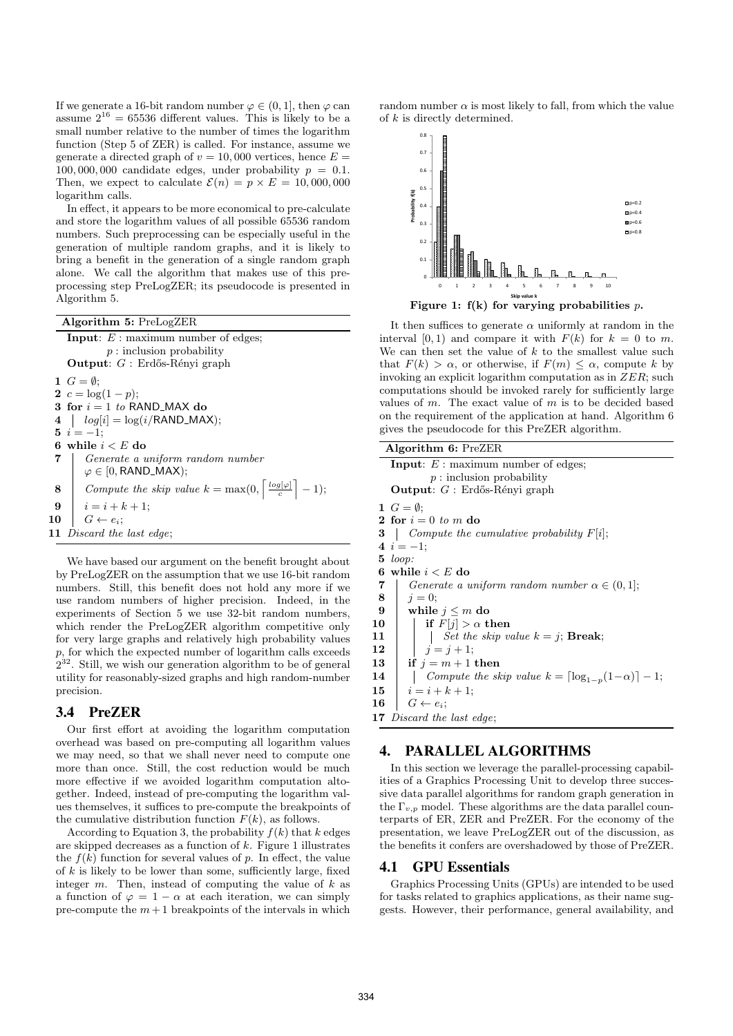If we generate a 16-bit random number  $\varphi \in (0, 1]$ , then  $\varphi$  can assume  $2^{16} = 65536$  different values. This is likely to be a small number relative to the number of times the logarithm function (Step 5 of ZER) is called. For instance, assume we generate a directed graph of  $v = 10,000$  vertices, hence  $E =$ 100, 000, 000 candidate edges, under probability  $p = 0.1$ . Then, we expect to calculate  $\mathcal{E}(n) = p \times E = 10,000,000$ logarithm calls.

In effect, it appears to be more economical to pre-calculate and store the logarithm values of all possible 65536 random numbers. Such preprocessing can be especially useful in the generation of multiple random graphs, and it is likely to bring a benefit in the generation of a single random graph alone. We call the algorithm that makes use of this preprocessing step PreLogZER; its pseudocode is presented in Algorithm 5.

| <b>Algorithm 5: PreLogZER</b> |                                                                                    |  |  |  |  |  |  |
|-------------------------------|------------------------------------------------------------------------------------|--|--|--|--|--|--|
|                               | <b>Input:</b> $E$ : maximum number of edges;                                       |  |  |  |  |  |  |
|                               | $p:$ inclusion probability                                                         |  |  |  |  |  |  |
|                               | <b>Output</b> : $G$ : Erdős-Rényi graph                                            |  |  |  |  |  |  |
|                               | 1 $G = \emptyset$ :                                                                |  |  |  |  |  |  |
|                               | 2 $c = \log(1-p)$ ;                                                                |  |  |  |  |  |  |
|                               | 3 for $i = 1$ to RAND MAX do                                                       |  |  |  |  |  |  |
| 4                             | $\left  log[i] = log(i/RAND\_MAX); \right.$                                        |  |  |  |  |  |  |
|                               | 5 $i = -1$ ;                                                                       |  |  |  |  |  |  |
|                               | 6 while $i < E$ do                                                                 |  |  |  |  |  |  |
| 7                             | Generate a uniform random number                                                   |  |  |  |  |  |  |
|                               | $\varphi \in [0,$ RAND_MAX);                                                       |  |  |  |  |  |  |
| 8                             | Compute the skip value $k = \max(0, \left  \frac{\log  \varphi }{c} \right  - 1);$ |  |  |  |  |  |  |
| 9                             | $i = i + k + 1;$                                                                   |  |  |  |  |  |  |
| 10                            | $\mid G \leftarrow e_i$                                                            |  |  |  |  |  |  |
|                               | 11 Discard the last edge;                                                          |  |  |  |  |  |  |

We have based our argument on the benefit brought about by PreLogZER on the assumption that we use 16-bit random numbers. Still, this benefit does not hold any more if we use random numbers of higher precision. Indeed, in the experiments of Section 5 we use 32-bit random numbers, which render the PreLogZER algorithm competitive only for very large graphs and relatively high probability values p, for which the expected number of logarithm calls exceeds  $2^{32}$ . Still, we wish our generation algorithm to be of general utility for reasonably-sized graphs and high random-number precision.

# 3.4 PreZER

Our first effort at avoiding the logarithm computation overhead was based on pre-computing all logarithm values we may need, so that we shall never need to compute one more than once. Still, the cost reduction would be much more effective if we avoided logarithm computation altogether. Indeed, instead of pre-computing the logarithm values themselves, it suffices to pre-compute the breakpoints of the cumulative distribution function  $F(k)$ , as follows.

According to Equation 3, the probability  $f(k)$  that k edges are skipped decreases as a function of  $k$ . Figure 1 illustrates the  $f(k)$  function for several values of p. In effect, the value of  $k$  is likely to be lower than some, sufficiently large, fixed integer  $m$ . Then, instead of computing the value of  $k$  as a function of  $\varphi = 1 - \alpha$  at each iteration, we can simply pre-compute the  $m+1$  breakpoints of the intervals in which random number  $\alpha$  is most likely to fall, from which the value of k is directly determined.



**Figure 1: f(k) for varying probabilities** p**.**

It then suffices to generate  $\alpha$  uniformly at random in the interval [0, 1) and compare it with  $F(k)$  for  $k = 0$  to m. We can then set the value of  $k$  to the smallest value such that  $F(k) > \alpha$ , or otherwise, if  $F(m) \leq \alpha$ , compute k by invoking an explicit logarithm computation as in ZER; such computations should be invoked rarely for sufficiently large values of  $m$ . The exact value of  $m$  is to be decided based on the requirement of the application at hand. Algorithm 6 gives the pseudocode for this PreZER algorithm.

|    | Algorithm 6: PreZER                                                     |  |  |  |  |  |  |
|----|-------------------------------------------------------------------------|--|--|--|--|--|--|
|    | <b>Input:</b> $E$ : maximum number of edges;                            |  |  |  |  |  |  |
|    | $p:$ inclusion probability                                              |  |  |  |  |  |  |
|    | <b>Output</b> : $G$ : Erdős-Rényi graph                                 |  |  |  |  |  |  |
|    | 1 $G = \emptyset$ :                                                     |  |  |  |  |  |  |
|    | 2 for $i=0$ to m do                                                     |  |  |  |  |  |  |
|    | <b>3</b> Compute the cumulative probability $F[i]$ ;                    |  |  |  |  |  |  |
|    | 4 $i = -1$ ;                                                            |  |  |  |  |  |  |
|    | $5 \; loop:$                                                            |  |  |  |  |  |  |
|    | 6 while $i < E$ do                                                      |  |  |  |  |  |  |
| 7  | Generate a uniform random number $\alpha \in (0,1]$ ;                   |  |  |  |  |  |  |
| 8  | $i=0;$                                                                  |  |  |  |  |  |  |
| 9  | while $j \leq m$ do                                                     |  |  |  |  |  |  |
| 10 | if $F[j] > \alpha$ then                                                 |  |  |  |  |  |  |
| 11 | Set the skip value $k = j$ ; Break;                                     |  |  |  |  |  |  |
| 12 | $i = i + 1$ ;                                                           |  |  |  |  |  |  |
| 13 | if $j = m + 1$ then                                                     |  |  |  |  |  |  |
| 14 | Compute the skip value $k = \lfloor \log_{1-p}(1-\alpha) \rfloor - 1$ ; |  |  |  |  |  |  |
| 15 | $i = i + k + 1$                                                         |  |  |  |  |  |  |
| 16 | $G \leftarrow e_i$                                                      |  |  |  |  |  |  |
|    | 17 Discard the last edge;                                               |  |  |  |  |  |  |
|    |                                                                         |  |  |  |  |  |  |
|    | PARALLEL ALGORITHMS                                                     |  |  |  |  |  |  |
|    |                                                                         |  |  |  |  |  |  |

In this section we leverage the parallel-processing capabilities of a Graphics Processing Unit to develop three successive data parallel algorithms for random graph generation in the  $\Gamma_{v,p}$  model. These algorithms are the data parallel counterparts of ER, ZER and PreZER. For the economy of the presentation, we leave PreLogZER out of the discussion, as the benefits it confers are overshadowed by those of PreZER.

### 4.1 GPU Essentials

Graphics Processing Units (GPUs) are intended to be used for tasks related to graphics applications, as their name suggests. However, their performance, general availability, and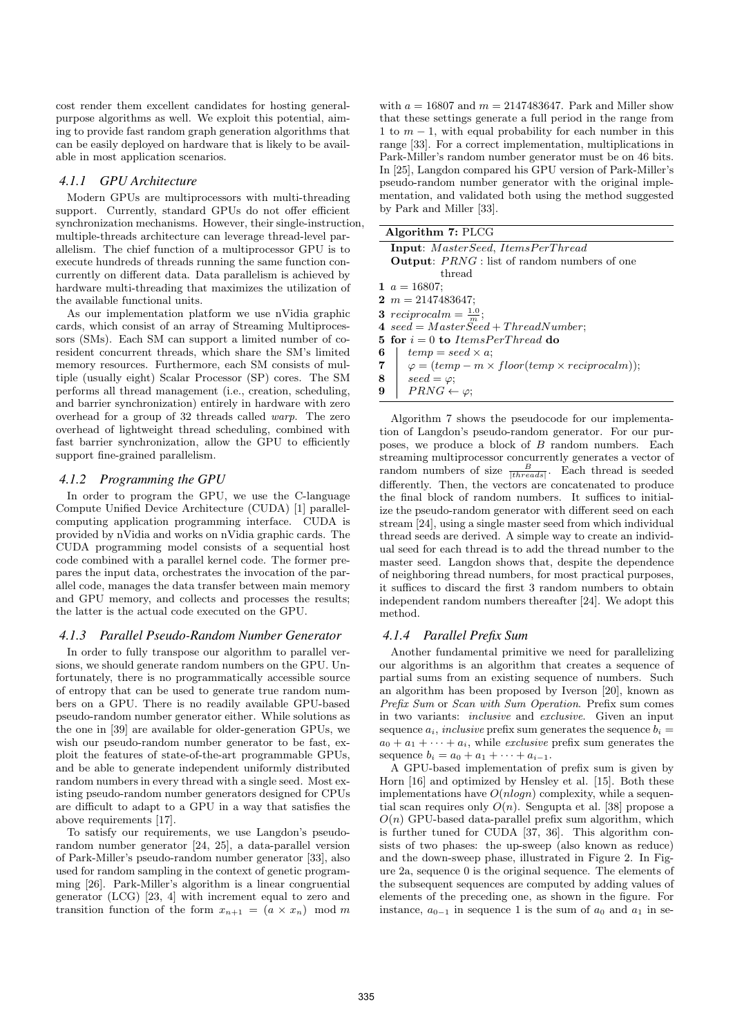cost render them excellent candidates for hosting generalpurpose algorithms as well. We exploit this potential, aiming to provide fast random graph generation algorithms that can be easily deployed on hardware that is likely to be available in most application scenarios.

### *4.1.1 GPU Architecture*

Modern GPUs are multiprocessors with multi-threading support. Currently, standard GPUs do not offer efficient synchronization mechanisms. However, their single-instruction multiple-threads architecture can leverage thread-level parallelism. The chief function of a multiprocessor GPU is to execute hundreds of threads running the same function concurrently on different data. Data parallelism is achieved by hardware multi-threading that maximizes the utilization of the available functional units.

As our implementation platform we use nVidia graphic cards, which consist of an array of Streaming Multiprocessors (SMs). Each SM can support a limited number of coresident concurrent threads, which share the SM's limited memory resources. Furthermore, each SM consists of multiple (usually eight) Scalar Processor (SP) cores. The SM performs all thread management (i.e., creation, scheduling, and barrier synchronization) entirely in hardware with zero overhead for a group of 32 threads called warp. The zero overhead of lightweight thread scheduling, combined with fast barrier synchronization, allow the GPU to efficiently support fine-grained parallelism.

#### *4.1.2 Programming the GPU*

In order to program the GPU, we use the C-language Compute Unified Device Architecture (CUDA) [1] parallelcomputing application programming interface. CUDA is provided by nVidia and works on nVidia graphic cards. The CUDA programming model consists of a sequential host code combined with a parallel kernel code. The former prepares the input data, orchestrates the invocation of the parallel code, manages the data transfer between main memory and GPU memory, and collects and processes the results; the latter is the actual code executed on the GPU.

#### *4.1.3 Parallel Pseudo-Random Number Generator*

In order to fully transpose our algorithm to parallel versions, we should generate random numbers on the GPU. Unfortunately, there is no programmatically accessible source of entropy that can be used to generate true random numbers on a GPU. There is no readily available GPU-based pseudo-random number generator either. While solutions as the one in [39] are available for older-generation GPUs, we wish our pseudo-random number generator to be fast, exploit the features of state-of-the-art programmable GPUs, and be able to generate independent uniformly distributed random numbers in every thread with a single seed. Most existing pseudo-random number generators designed for CPUs are difficult to adapt to a GPU in a way that satisfies the above requirements [17].

To satisfy our requirements, we use Langdon's pseudorandom number generator [24, 25], a data-parallel version of Park-Miller's pseudo-random number generator [33], also used for random sampling in the context of genetic programming [26]. Park-Miller's algorithm is a linear congruential generator (LCG) [23, 4] with increment equal to zero and transition function of the form  $x_{n+1} = (a \times x_n) \mod m$  with  $a = 16807$  and  $m = 2147483647$ . Park and Miller show that these settings generate a full period in the range from 1 to  $m-1$ , with equal probability for each number in this range [33]. For a correct implementation, multiplications in Park-Miller's random number generator must be on 46 bits. In [25], Langdon compared his GPU version of Park-Miller's pseudo-random number generator with the original implementation, and validated both using the method suggested by Park and Miller [33].

|   | <b>Algorithm 7: PLCG</b>                                     |
|---|--------------------------------------------------------------|
|   | <b>Input:</b> MasterSeed, ItemsPerThread                     |
|   | <b>Output:</b> $PRNG$ : list of random numbers of one        |
|   | thread                                                       |
|   | 1 $a = 16807$ ;                                              |
|   | 2 $m = 2147483647$ ;                                         |
|   | <b>3</b> reciprocalm = $\frac{1.0}{m}$ ;                     |
|   | $4 \; seed = MasterSeed + ThreadNumber;$                     |
|   | 5 for $i = 0$ to ItemsPerThread do                           |
| 6 | $temp = seed \times a$                                       |
| 7 | $\varphi = (temp - m \times floortemp \times reciprocalm));$ |
| 8 | $seed = \varphi$ ;                                           |
| 9 | $PRNG \leftarrow \varphi$ ;                                  |

Algorithm 7 shows the pseudocode for our implementation of Langdon's pseudo-random generator. For our purposes, we produce a block of B random numbers. Each streaming multiprocessor concurrently generates a vector of random numbers of size  $\frac{B}{|threads|}$ . Each thread is seeded differently. Then, the vectors are concatenated to produce the final block of random numbers. It suffices to initialize the pseudo-random generator with different seed on each stream [24], using a single master seed from which individual thread seeds are derived. A simple way to create an individual seed for each thread is to add the thread number to the master seed. Langdon shows that, despite the dependence of neighboring thread numbers, for most practical purposes, it suffices to discard the first 3 random numbers to obtain independent random numbers thereafter [24]. We adopt this method.

### *4.1.4 Parallel Prefix Sum*

Another fundamental primitive we need for parallelizing our algorithms is an algorithm that creates a sequence of partial sums from an existing sequence of numbers. Such an algorithm has been proposed by Iverson [20], known as Prefix Sum or Scan with Sum Operation. Prefix sum comes in two variants: inclusive and exclusive. Given an input sequence  $a_i$ , inclusive prefix sum generates the sequence  $b_i =$  $a_0 + a_1 + \cdots + a_i$ , while *exclusive* prefix sum generates the sequence  $b_i = a_0 + a_1 + \cdots + a_{i-1}$ .

A GPU-based implementation of prefix sum is given by Horn [16] and optimized by Hensley et al. [15]. Both these implementations have  $O(n \log n)$  complexity, while a sequential scan requires only  $O(n)$ . Sengupta et al. [38] propose a  $O(n)$  GPU-based data-parallel prefix sum algorithm, which is further tuned for CUDA [37, 36]. This algorithm consists of two phases: the up-sweep (also known as reduce) and the down-sweep phase, illustrated in Figure 2. In Figure 2a, sequence 0 is the original sequence. The elements of the subsequent sequences are computed by adding values of elements of the preceding one, as shown in the figure. For instance,  $a_{0-1}$  in sequence 1 is the sum of  $a_0$  and  $a_1$  in se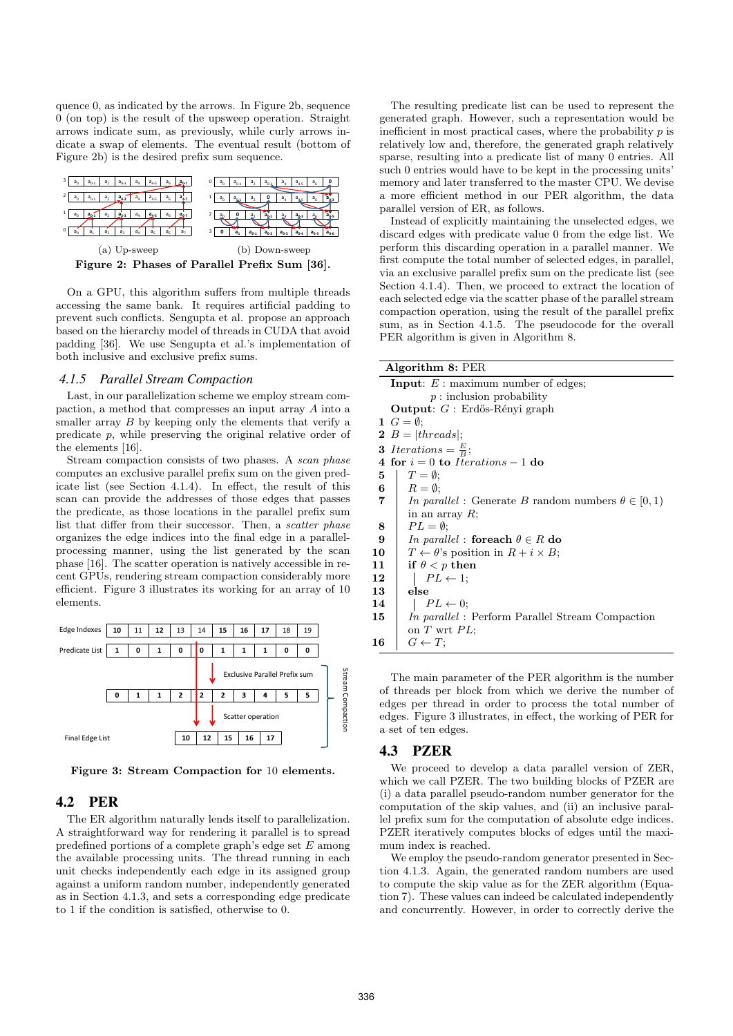quence 0, as indicated by the arrows. In Figure 2b, sequence  $0$  (on top) is the result of the upsweep operation. Straight arrows indicate sum, as previously, while curly arrows indicate a swap of elements. The eventual result (bottom of Figure 2b) is the desired prefix sum sequence.



On a GPU, this algorithm suffers from multiple threads accessing the same bank. It requires artificial padding to prevent such conflicts. Sengupta et al. propose an approach based on the hierarchy model of threads in CUDA that avoid padding [36]. We use Sengupta et al.'s implementation of both inclusive and exclusive prefix sums.

#### *4.1.5 Parallel Stream Compaction*

Last, in our parallelization scheme we employ stream compaction, a method that compresses an input array  $A$  into smaller array  $B$  by keeping only the elements that verify predicate  $p$ , while preserving the original relative order the elements [16].

Stream compaction consists of two phases. A scan phase computes an exclusive parallel prefix sum on the given predicate list (see Section 4.1.4). In effect, the result of  $th$ scan can provide the addresses of those edges that passes the predicate, as those locations in the parallel prefix sur list that differ from their successor. Then, a scatter phase organizes the edge indices into the final edge in a parallelprocessing manner, using the list generated by the scan phase [16]. The scatter operation is natively accessible in recent GPUs, rendering stream compaction considerably more efficient. Figure 3 illustrates its working for an array of 1 elements.



**Figure 3: Stream Compaction for** 10 **elements.**

# 4.2 PER

The ER algorithm naturally lends itself to parallelization. A straightforward way for rendering it parallel is to spread predefined portions of a complete graph's edge set  $E$  among the available processing units. The thread running in each unit checks independently each edge in its assigned group against a uniform random number, independently generated as in Section 4.1.3, and sets a corresponding edge predicate to 1 if the condition is satisfied, otherwise to 0.

The resulting predicate list can be used to represent the generated graph. However, such a representation would be inefficient in most practical cases, where the probability  $p$  is relatively low and, therefore, the generated graph relatively sparse, resulting into a predicate list of many 0 entries. All such 0 entries would have to be kept in the processing units' memory and later transferred to the master CPU. We devise a more efficient method in our PER algorithm, the data parallel version of ER, as follows.

Instead of explicitly maintaining the unselected edges, we discard edges with predicate value 0 from the edge list. We perform this discarding operation in a parallel manner. We first compute the total number of selected edges, in parallel, via an exclusive parallel prefix sum on the predicate list (see Section 4.1.4). Then, we proceed to extract the location of each selected edge via the scatter phase of the parallel stream compaction operation, using the result of the parallel prefix sum, as in Section 4.1.5. The pseudocode for the overall PER algorithm is given in Algorithm 8.

|    | Algorithm 8: PER                                           |
|----|------------------------------------------------------------|
|    | <b>Input:</b> $E$ : maximum number of edges;               |
|    | $p:$ inclusion probability                                 |
|    | <b>Output</b> : $G$ : Erdős-Rényi graph                    |
|    | 1 $G = \emptyset$ ;                                        |
|    | 2 $B =  threads ;$                                         |
|    | <b>3</b> Iterations $=\frac{E}{B}$ ;                       |
|    | 4 for $i = 0$ to <i>Iterations</i> – 1 do                  |
| 5  | $T=\emptyset$ :                                            |
| 6  | $R=\emptyset$ :                                            |
| 7  | In parallel : Generate B random numbers $\theta \in [0,1)$ |
|    | in an array $R$ ;                                          |
| 8  | $PL = \emptyset$ ;                                         |
| 9  | In parallel : for each $\theta \in R$ do                   |
| 10 | $T \leftarrow \theta$ 's position in $R + i \times B$ ;    |
| 11 | if $\theta < p$ then                                       |
| 12 | $PL \leftarrow 1$ ;                                        |
| 13 | else                                                       |
| 14 | $PL \leftarrow 0$ ;                                        |
| 15 | <i>In parallel</i> : Perform Parallel Stream Compaction    |
|    | on $T$ wrt $PL$ ;                                          |
| 16 | $G \leftarrow T$ ;                                         |
|    |                                                            |

The main parameter of the PER algorithm is the number of threads per block from which we derive the number of edges per thread in order to process the total number of edges. Figure 3 illustrates, in effect, the working of PER for a set of ten edges.

# 4.3 PZER

We proceed to develop a data parallel version of ZER, which we call PZER. The two building blocks of PZER are (i) a data parallel pseudo-random number generator for the computation of the skip values, and (ii) an inclusive parallel prefix sum for the computation of absolute edge indices. PZER iteratively computes blocks of edges until the maximum index is reached.

We employ the pseudo-random generator presented in Section 4.1.3. Again, the generated random numbers are used to compute the skip value as for the ZER algorithm (Equation 7). These values can indeed be calculated independently and concurrently. However, in order to correctly derive the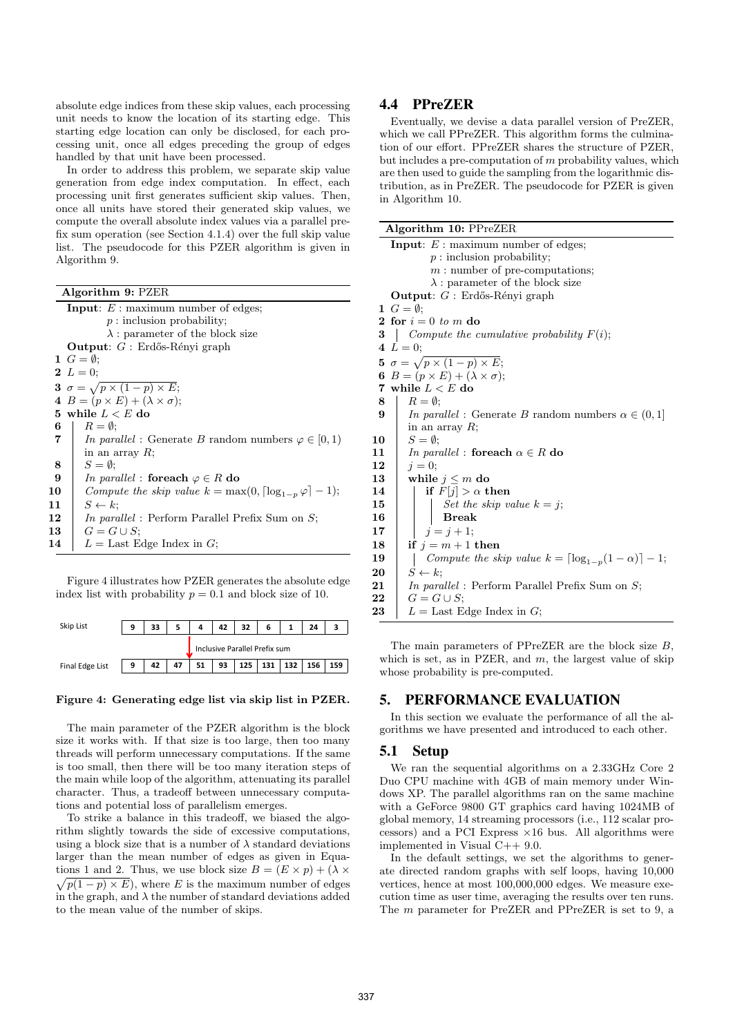absolute edge indices from these skip values, each processing unit needs to know the location of its starting edge. This starting edge location can only be disclosed, for each processing unit, once all edges preceding the group of edges handled by that unit have been processed.

In order to address this problem, we separate skip value generation from edge index computation. In effect, each processing unit first generates sufficient skip values. Then, once all units have stored their generated skip values, we compute the overall absolute index values via a parallel prefix sum operation (see Section 4.1.4) over the full skip value list. The pseudocode for this PZER algorithm is given in Algorithm 9.

**Algorithm 9:** PZER

|                | <b>Input</b> : $E$ : maximum number of edges;                               |
|----------------|-----------------------------------------------------------------------------|
|                | $p:$ inclusion probability;                                                 |
|                | $\lambda$ : parameter of the block size                                     |
|                | <b>Output</b> : $G$ : Erdős-Rényi graph                                     |
|                | 1 $G = \emptyset$ :                                                         |
|                | 2 $L = 0$ ;                                                                 |
|                | 3 $\sigma = \sqrt{p \times (1-p) \times E}$ ;                               |
|                | 4 $B = (p \times E) + (\lambda \times \sigma);$                             |
|                | 5 while $L < E$ do                                                          |
| 6              | $R=\emptyset$ :                                                             |
| $\overline{7}$ | In parallel : Generate B random numbers $\varphi \in [0,1)$                 |
|                | in an array $R$ ;                                                           |
| 8              | $S=\emptyset$                                                               |
| 9              | In parallel : for each $\varphi \in R$ do                                   |
| 10             | Compute the skip value $k = \max(0, \lceil \log_{1-n} \varphi \rceil - 1);$ |
| 11             | $S \leftarrow k$                                                            |
| 12             | <i>In parallel</i> : Perform Parallel Prefix Sum on S;                      |
| 13             | $G = G \cup S$                                                              |
| 14             | $L =$ Last Edge Index in G;                                                 |
|                |                                                                             |

Figure 4 illustrates how PZER generates the absolute edge index list with probability  $p = 0.1$  and block size of 10.

| Skip List       | a | 33 |    |                               | 42 | 32  |     |     |     | ٠   |
|-----------------|---|----|----|-------------------------------|----|-----|-----|-----|-----|-----|
|                 |   |    |    | Inclusive Parallel Prefix sum |    |     |     |     |     |     |
| Final Edge List | a | 42 | 47 | 51                            | 93 | 125 | 131 | 132 | 156 | 159 |

#### **Figure 4: Generating edge list via skip list in PZER.**

The main parameter of the PZER algorithm is the block size it works with. If that size is too large, then too many threads will perform unnecessary computations. If the same is too small, then there will be too many iteration steps of the main while loop of the algorithm, attenuating its parallel character. Thus, a tradeoff between unnecessary computations and potential loss of parallelism emerges.

To strike a balance in this tradeoff, we biased the algorithm slightly towards the side of excessive computations, using a block size that is a number of  $\lambda$  standard deviations larger than the mean number of edges as given in Equations 1 and 2. Thus, we use block size  $B = (E \times p) + (\lambda \times p)$  $\sqrt{p(1-p) \times E}$ , where E is the maximum number of edges in the graph, and  $\lambda$  the number of standard deviations added to the mean value of the number of skips.

# 4.4 PPreZER

Eventually, we devise a data parallel version of PreZER, which we call PPreZER. This algorithm forms the culmination of our effort. PPreZER shares the structure of PZER, but includes a pre-computation of  $m$  probability values, which are then used to guide the sampling from the logarithmic distribution, as in PreZER. The pseudocode for PZER is given in Algorithm 10.

|    | <b>Input</b> : $E$ : maximum number of edges;                           |
|----|-------------------------------------------------------------------------|
|    | $p:$ inclusion probability;                                             |
|    | $m:$ number of pre-computations;                                        |
|    | $\lambda$ : parameter of the block size                                 |
|    | <b>Output</b> : $G$ : Erdős-Rényi graph                                 |
|    | 1 $G = \emptyset$ :                                                     |
|    | 2 for $i=0$ to m do                                                     |
|    | <b>3</b> Compute the cumulative probability $F(i)$ ;                    |
|    | 4 $L = 0$ ;                                                             |
|    | 5 $\sigma = \sqrt{p \times (1-p) \times E}$ ;                           |
|    | 6 $B = (p \times E) + (\lambda \times \sigma);$                         |
|    | 7 while $L < E$ do                                                      |
| 8  | $R=\emptyset$ :                                                         |
| 9  | In parallel : Generate B random numbers $\alpha \in (0,1]$              |
|    | in an array $R$ ;                                                       |
| 10 | $S=\emptyset;$                                                          |
| 11 | In parallel : for each $\alpha \in R$ do                                |
| 12 | $i=0;$                                                                  |
| 13 | while $j \leq m$ do                                                     |
| 14 | if $F[i] > \alpha$ then                                                 |
| 15 | Set the skip value $k = j$ ;                                            |
| 16 | <b>Break</b>                                                            |
| 17 | $j = j + 1;$                                                            |
| 18 | if $j = m + 1$ then                                                     |
| 19 | Compute the skip value $k = \lfloor \log_{1-p}(1-\alpha) \rfloor - 1$ ; |
| 20 | $S \leftarrow k$ ;                                                      |
| 21 | <i>In parallel</i> : Perform Parallel Prefix Sum on S;                  |
| 22 | $G = G \cup S;$                                                         |
| 23 | $L =$ Last Edge Index in G;                                             |
|    |                                                                         |

The main parameters of PPreZER are the block size B, which is set, as in PZER, and  $m$ , the largest value of skip whose probability is pre-computed.

## 5. PERFORMANCE EVALUATION

In this section we evaluate the performance of all the algorithms we have presented and introduced to each other.

### 5.1 Setup

We ran the sequential algorithms on a 2.33GHz Core 2 Duo CPU machine with 4GB of main memory under Windows XP. The parallel algorithms ran on the same machine with a GeForce 9800 GT graphics card having 1024MB of global memory, 14 streaming processors (i.e., 112 scalar processors) and a PCI Express  $\times 16$  bus. All algorithms were implemented in Visual C++ 9.0.

In the default settings, we set the algorithms to generate directed random graphs with self loops, having 10,000 vertices, hence at most 100,000,000 edges. We measure execution time as user time, averaging the results over ten runs. The m parameter for PreZER and PPreZER is set to 9, a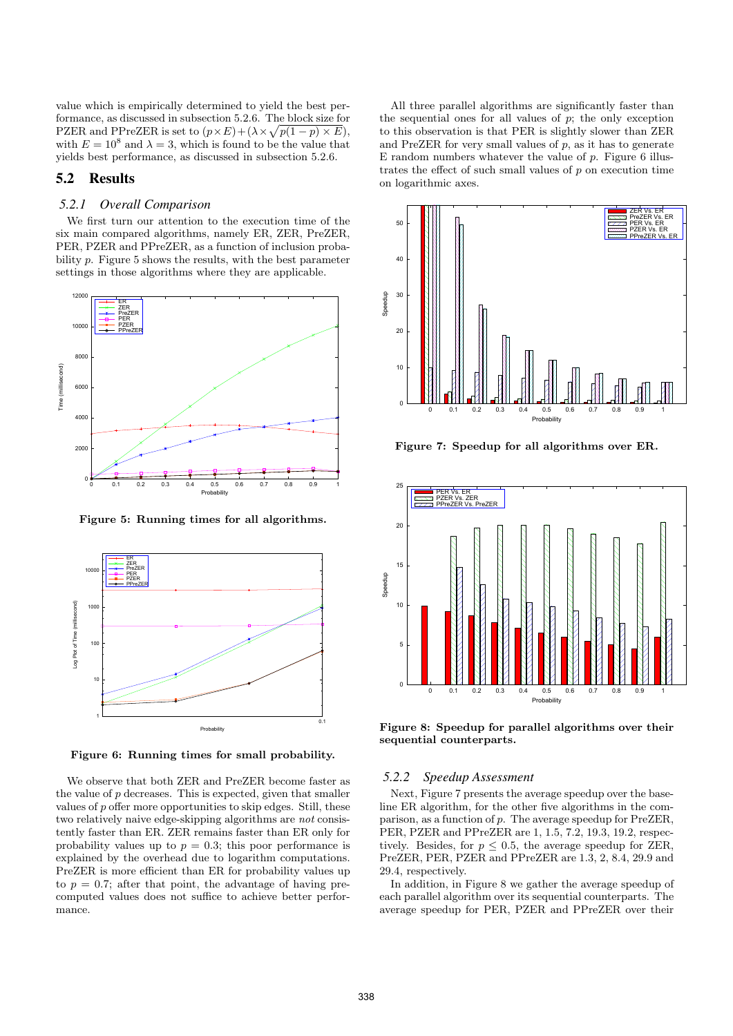value which is empirically determined to yield the best performance, as discussed in subsection 5.2.6. The block size for PZER and PPreZER is set to  $(p \times E) + (\lambda \times \sqrt{p(1-p) \times E}),$ with  $E = 10^8$  and  $\lambda = 3$ , which is found to be the value that yields best performance, as discussed in subsection 5.2.6.

### 5.2 Results

### *5.2.1 Overall Comparison*

We first turn our attention to the execution time of the six main compared algorithms, namely ER, ZER, PreZER, PER, PZER and PPreZER, as a function of inclusion probability  $p$ . Figure 5 shows the results, with the best parameter settings in those algorithms where they are applicable.



**Figure 5: Running times for all algorithms.**



**Figure 6: Running times for small probability.**

We observe that both ZER and PreZER become faster as the value of  $p$  decreases. This is expected, given that smaller values of  $p$  offer more opportunities to skip edges. Still, these two relatively naive edge-skipping algorithms are not consistently faster than ER. ZER remains faster than ER only for probability values up to  $p = 0.3$ ; this poor performance is explained by the overhead due to logarithm computations. PreZER is more efficient than ER for probability values up to  $p = 0.7$ ; after that point, the advantage of having precomputed values does not suffice to achieve better performance.

All three parallel algorithms are significantly faster than the sequential ones for all values of  $p$ ; the only exception to this observation is that PER is slightly slower than ZER and PreZER for very small values of  $p$ , as it has to generate E random numbers whatever the value of  $p$ . Figure 6 illustrates the effect of such small values of  $p$  on execution time on logarithmic axes.



**Figure 7: Speedup for all algorithms over ER.**



**Figure 8: Speedup for parallel algorithms over their sequential counterparts.**

### *5.2.2 Speedup Assessment*

Next, Figure 7 presents the average speedup over the baseline ER algorithm, for the other five algorithms in the comparison, as a function of p. The average speedup for PreZER, PER, PZER and PPreZER are 1, 1.5, 7.2, 19.3, 19.2, respectively. Besides, for  $p \leq 0.5$ , the average speedup for ZER, PreZER, PER, PZER and PPreZER are 1.3, 2, 8.4, 29.9 and 29.4, respectively.

In addition, in Figure 8 we gather the average speedup of each parallel algorithm over its sequential counterparts. The average speedup for PER, PZER and PPreZER over their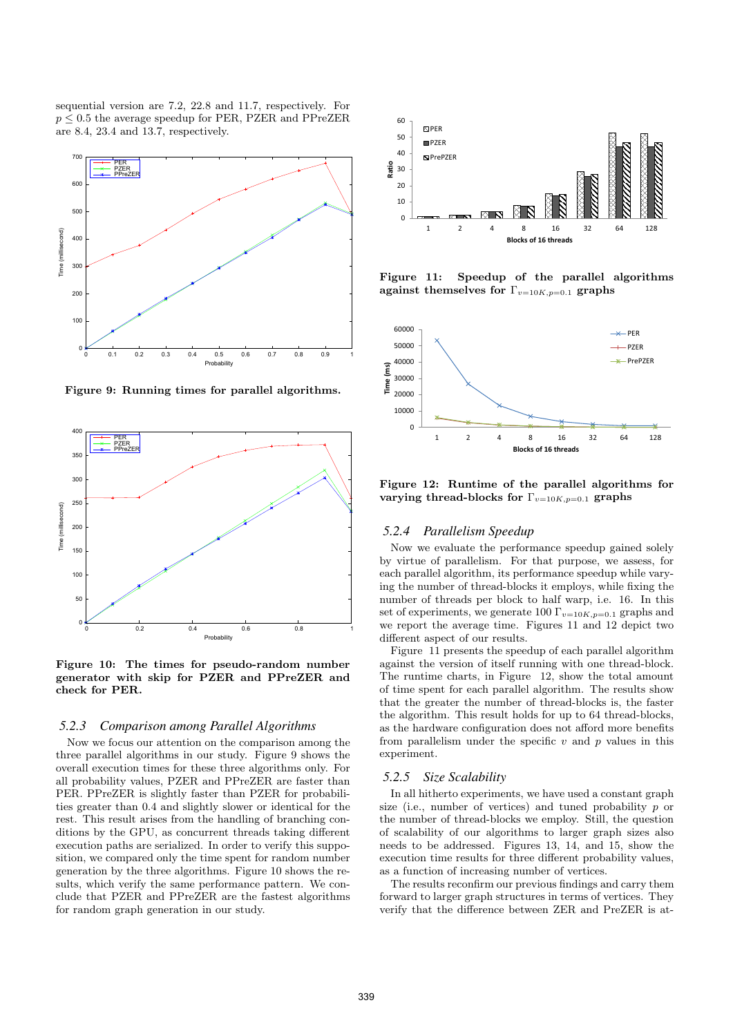sequential version are 7.2, 22.8 and 11.7, respectively. For  $p \leq 0.5$  the average speedup for PER, PZER and PPreZER are 8.4, 23.4 and 13.7, respectively.



**Figure 9: Running times for parallel algorithms.**



**Figure 10: The times for pseudo-random number generator with skip for PZER and PPreZER and check for PER.**

### *5.2.3 Comparison among Parallel Algorithms*

Now we focus our attention on the comparison among the three parallel algorithms in our study. Figure 9 shows the overall execution times for these three algorithms only. For all probability values, PZER and PPreZER are faster than PER. PPreZER is slightly faster than PZER for probabilities greater than 0.4 and slightly slower or identical for the rest. This result arises from the handling of branching conditions by the GPU, as concurrent threads taking different execution paths are serialized. In order to verify this supposition, we compared only the time spent for random number generation by the three algorithms. Figure 10 shows the results, which verify the same performance pattern. We conclude that PZER and PPreZER are the fastest algorithms for random graph generation in our study.



**Figure 11: Speedup of the parallel algorithms against themselves for**  $\Gamma_{v=10K,p=0.1}$  graphs



**Figure 12: Runtime of the parallel algorithms for varying thread-blocks for**  $\Gamma_{v=10K,p=0.1}$  **graphs** 

# *5.2.4 Parallelism Speedup*

Now we evaluate the performance speedup gained solely by virtue of parallelism. For that purpose, we assess, for each parallel algorithm, its performance speedup while varying the number of thread-blocks it employs, while fixing the number of threads per block to half warp, i.e. 16. In this set of experiments, we generate 100  $\Gamma_{v=10K,p=0.1}$  graphs and we report the average time. Figures 11 and 12 depict two different aspect of our results.

Figure 11 presents the speedup of each parallel algorithm against the version of itself running with one thread-block. The runtime charts, in Figure 12, show the total amount of time spent for each parallel algorithm. The results show that the greater the number of thread-blocks is, the faster the algorithm. This result holds for up to 64 thread-blocks, as the hardware configuration does not afford more benefits from parallelism under the specific  $v$  and  $p$  values in this experiment.

#### *5.2.5 Size Scalability*

In all hitherto experiments, we have used a constant graph size (i.e., number of vertices) and tuned probability  $p$  or the number of thread-blocks we employ. Still, the question of scalability of our algorithms to larger graph sizes also needs to be addressed. Figures 13, 14, and 15, show the execution time results for three different probability values, as a function of increasing number of vertices.

The results reconfirm our previous findings and carry them forward to larger graph structures in terms of vertices. They verify that the difference between ZER and PreZER is at-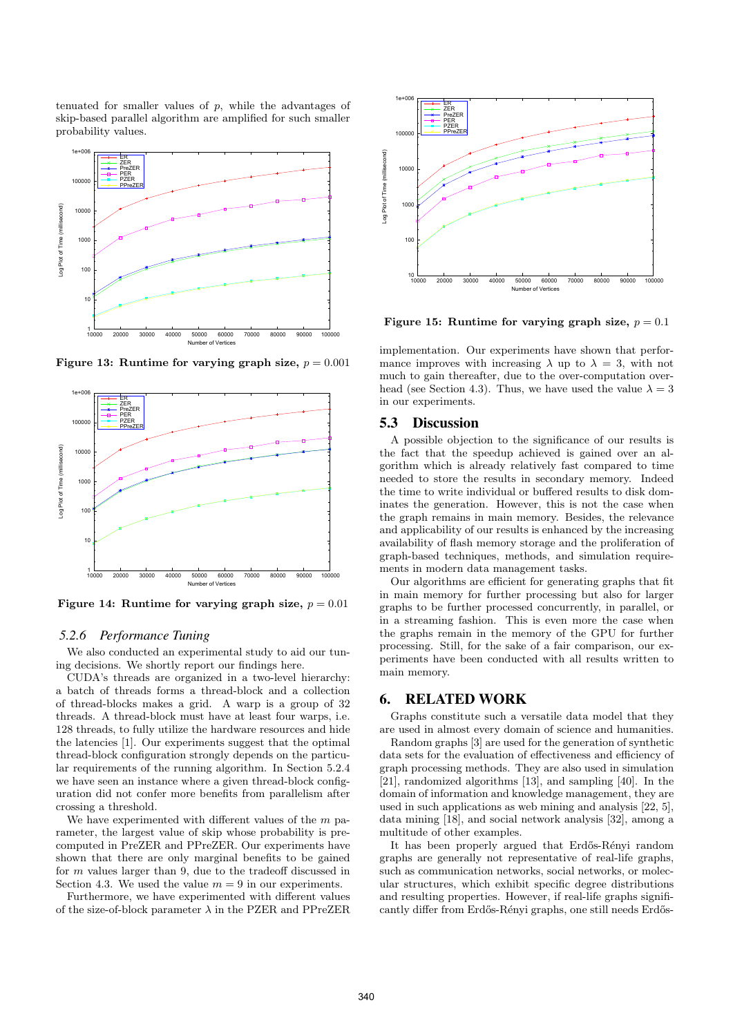tenuated for smaller values of  $p$ , while the advantages of skip-based parallel algorithm are amplified for such smaller probability values.



**Figure 13: Runtime for varying graph size,**  $p = 0.001$ 



**Figure 14: Runtime for varying graph size,**  $p = 0.01$ 

#### *5.2.6 Performance Tuning*

We also conducted an experimental study to aid our tuning decisions. We shortly report our findings here.

CUDA's threads are organized in a two-level hierarchy: a batch of threads forms a thread-block and a collection of thread-blocks makes a grid. A warp is a group of 32 threads. A thread-block must have at least four warps, i.e. 128 threads, to fully utilize the hardware resources and hide the latencies [1]. Our experiments suggest that the optimal thread-block configuration strongly depends on the particular requirements of the running algorithm. In Section 5.2.4 we have seen an instance where a given thread-block configuration did not confer more benefits from parallelism after crossing a threshold.

We have experimented with different values of the  $m$  parameter, the largest value of skip whose probability is precomputed in PreZER and PPreZER. Our experiments have shown that there are only marginal benefits to be gained for m values larger than 9, due to the tradeoff discussed in Section 4.3. We used the value  $m = 9$  in our experiments.

Furthermore, we have experimented with different values of the size-of-block parameter  $\lambda$  in the PZER and PPreZER



**Figure 15: Runtime for varying graph size,**  $p = 0.1$ 

implementation. Our experiments have shown that performance improves with increasing  $\lambda$  up to  $\lambda = 3$ , with not much to gain thereafter, due to the over-computation overhead (see Section 4.3). Thus, we have used the value  $\lambda = 3$ in our experiments.

## 5.3 Discussion

A possible objection to the significance of our results is the fact that the speedup achieved is gained over an algorithm which is already relatively fast compared to time needed to store the results in secondary memory. Indeed the time to write individual or buffered results to disk dominates the generation. However, this is not the case when the graph remains in main memory. Besides, the relevance and applicability of our results is enhanced by the increasing availability of flash memory storage and the proliferation of graph-based techniques, methods, and simulation requirements in modern data management tasks.

Our algorithms are efficient for generating graphs that fit in main memory for further processing but also for larger graphs to be further processed concurrently, in parallel, or in a streaming fashion. This is even more the case when the graphs remain in the memory of the GPU for further processing. Still, for the sake of a fair comparison, our experiments have been conducted with all results written to main memory.

# 6. RELATED WORK

Graphs constitute such a versatile data model that they are used in almost every domain of science and humanities.

Random graphs [3] are used for the generation of synthetic data sets for the evaluation of effectiveness and efficiency of graph processing methods. They are also used in simulation [21], randomized algorithms [13], and sampling [40]. In the domain of information and knowledge management, they are used in such applications as web mining and analysis [22, 5], data mining [18], and social network analysis [32], among a multitude of other examples.

It has been properly argued that Erdős-Rényi random graphs are generally not representative of real-life graphs, such as communication networks, social networks, or molecular structures, which exhibit specific degree distributions and resulting properties. However, if real-life graphs significantly differ from Erdős-Rényi graphs, one still needs Erdős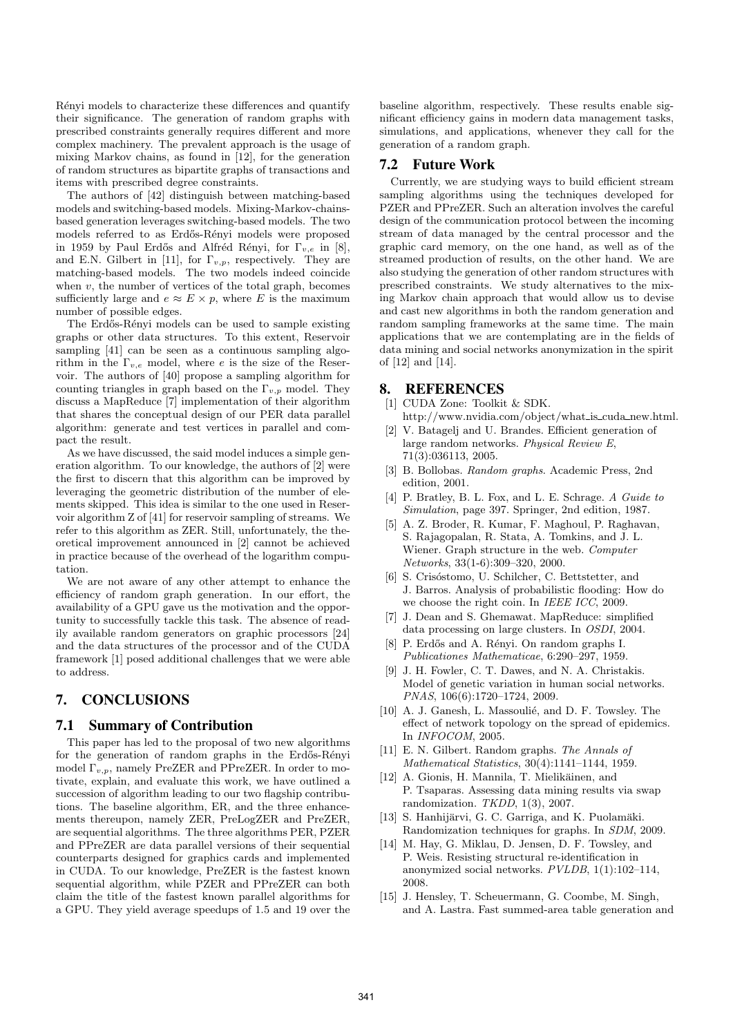Rényi models to characterize these differences and quantify their significance. The generation of random graphs with prescribed constraints generally requires different and more complex machinery. The prevalent approach is the usage of mixing Markov chains, as found in [12], for the generation of random structures as bipartite graphs of transactions and items with prescribed degree constraints.

The authors of [42] distinguish between matching-based models and switching-based models. Mixing-Markov-chainsbased generation leverages switching-based models. The two models referred to as Erdős-Rényi models were proposed in 1959 by Paul Erdős and Alfréd Rényi, for  $\Gamma_{v,e}$  in [8], and E.N. Gilbert in [11], for  $\Gamma_{v,p}$ , respectively. They are matching-based models. The two models indeed coincide when  $v$ , the number of vertices of the total graph, becomes sufficiently large and  $e \approx E \times p$ , where E is the maximum number of possible edges.

The Erdős-Rényi models can be used to sample existing graphs or other data structures. To this extent, Reservoir sampling [41] can be seen as a continuous sampling algorithm in the  $\Gamma_{v,e}$  model, where e is the size of the Reservoir. The authors of [40] propose a sampling algorithm for counting triangles in graph based on the  $\Gamma_{v,p}$  model. They discuss a MapReduce [7] implementation of their algorithm that shares the conceptual design of our PER data parallel algorithm: generate and test vertices in parallel and compact the result.

As we have discussed, the said model induces a simple generation algorithm. To our knowledge, the authors of [2] were the first to discern that this algorithm can be improved by leveraging the geometric distribution of the number of elements skipped. This idea is similar to the one used in Reservoir algorithm Z of [41] for reservoir sampling of streams. We refer to this algorithm as ZER. Still, unfortunately, the theoretical improvement announced in [2] cannot be achieved in practice because of the overhead of the logarithm computation.

We are not aware of any other attempt to enhance the efficiency of random graph generation. In our effort, the availability of a GPU gave us the motivation and the opportunity to successfully tackle this task. The absence of readily available random generators on graphic processors [24] and the data structures of the processor and of the CUDA framework [1] posed additional challenges that we were able to address.

# 7. CONCLUSIONS

### 7.1 Summary of Contribution

This paper has led to the proposal of two new algorithms for the generation of random graphs in the Erdős-Rényi model  $\Gamma_{v,p}$ , namely PreZER and PPreZER. In order to motivate, explain, and evaluate this work, we have outlined a succession of algorithm leading to our two flagship contributions. The baseline algorithm, ER, and the three enhancements thereupon, namely ZER, PreLogZER and PreZER, are sequential algorithms. The three algorithms PER, PZER and PPreZER are data parallel versions of their sequential counterparts designed for graphics cards and implemented in CUDA. To our knowledge, PreZER is the fastest known sequential algorithm, while PZER and PPreZER can both claim the title of the fastest known parallel algorithms for a GPU. They yield average speedups of 1.5 and 19 over the baseline algorithm, respectively. These results enable significant efficiency gains in modern data management tasks, simulations, and applications, whenever they call for the generation of a random graph.

### 7.2 Future Work

Currently, we are studying ways to build efficient stream sampling algorithms using the techniques developed for PZER and PPreZER. Such an alteration involves the careful design of the communication protocol between the incoming stream of data managed by the central processor and the graphic card memory, on the one hand, as well as of the streamed production of results, on the other hand. We are also studying the generation of other random structures with prescribed constraints. We study alternatives to the mixing Markov chain approach that would allow us to devise and cast new algorithms in both the random generation and random sampling frameworks at the same time. The main applications that we are contemplating are in the fields of data mining and social networks anonymization in the spirit of [12] and [14].

#### 8. REFERENCES

- [1] CUDA Zone: Toolkit & SDK. http://www.nvidia.com/object/what is cuda new.html.
- [2] V. Batagelj and U. Brandes. Efficient generation of large random networks. Physical Review E, 71(3):036113, 2005.
- [3] B. Bollobas. Random graphs. Academic Press, 2nd edition, 2001.
- [4] P. Bratley, B. L. Fox, and L. E. Schrage. A Guide to Simulation, page 397. Springer, 2nd edition, 1987.
- [5] A. Z. Broder, R. Kumar, F. Maghoul, P. Raghavan, S. Rajagopalan, R. Stata, A. Tomkins, and J. L. Wiener. Graph structure in the web. Computer Networks, 33(1-6):309–320, 2000.
- [6] S. Crisóstomo, U. Schilcher, C. Bettstetter, and J. Barros. Analysis of probabilistic flooding: How do we choose the right coin. In IEEE ICC, 2009.
- [7] J. Dean and S. Ghemawat. MapReduce: simplified data processing on large clusters. In OSDI, 2004.
- [8] P. Erdős and A. Rényi. On random graphs I. Publicationes Mathematicae, 6:290–297, 1959.
- [9] J. H. Fowler, C. T. Dawes, and N. A. Christakis. Model of genetic variation in human social networks. PNAS, 106(6):1720–1724, 2009.
- [10] A. J. Ganesh, L. Massoulié, and D. F. Towsley. The effect of network topology on the spread of epidemics. In INFOCOM, 2005.
- [11] E. N. Gilbert. Random graphs. The Annals of Mathematical Statistics, 30(4):1141–1144, 1959.
- [12] A. Gionis, H. Mannila, T. Mielikäinen, and P. Tsaparas. Assessing data mining results via swap randomization. TKDD, 1(3), 2007.
- [13] S. Hanhijärvi, G. C. Garriga, and K. Puolamäki. Randomization techniques for graphs. In SDM, 2009.
- [14] M. Hay, G. Miklau, D. Jensen, D. F. Towsley, and P. Weis. Resisting structural re-identification in anonymized social networks. PVLDB, 1(1):102–114, 2008.
- [15] J. Hensley, T. Scheuermann, G. Coombe, M. Singh, and A. Lastra. Fast summed-area table generation and